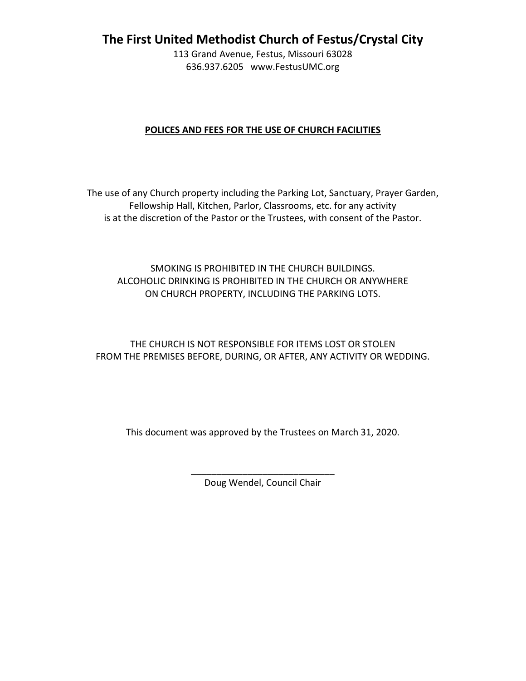**The First United Methodist Church of Festus/Crystal City**

113 Grand Avenue, Festus, Missouri 63028 636.937.6205 www.FestusUMC.org

## **POLICES AND FEES FOR THE USE OF CHURCH FACILITIES**

The use of any Church property including the Parking Lot, Sanctuary, Prayer Garden, Fellowship Hall, Kitchen, Parlor, Classrooms, etc. for any activity is at the discretion of the Pastor or the Trustees, with consent of the Pastor.

# SMOKING IS PROHIBITED IN THE CHURCH BUILDINGS. ALCOHOLIC DRINKING IS PROHIBITED IN THE CHURCH OR ANYWHERE ON CHURCH PROPERTY, INCLUDING THE PARKING LOTS.

THE CHURCH IS NOT RESPONSIBLE FOR ITEMS LOST OR STOLEN FROM THE PREMISES BEFORE, DURING, OR AFTER, ANY ACTIVITY OR WEDDING.

This document was approved by the Trustees on March 31, 2020.

\_\_\_\_\_\_\_\_\_\_\_\_\_\_\_\_\_\_\_\_\_\_\_\_\_\_\_\_ Doug Wendel, Council Chair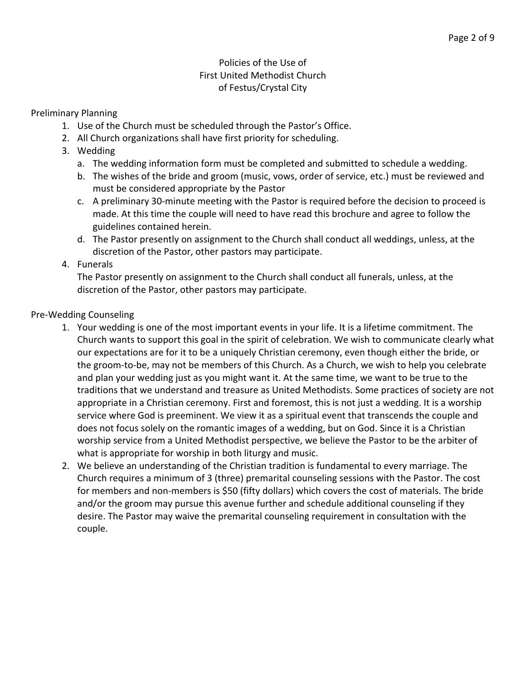# Policies of the Use of First United Methodist Church of Festus/Crystal City

## Preliminary Planning

- 1. Use of the Church must be scheduled through the Pastor's Office.
- 2. All Church organizations shall have first priority for scheduling.
- 3. Wedding
	- a. The wedding information form must be completed and submitted to schedule a wedding.
	- b. The wishes of the bride and groom (music, vows, order of service, etc.) must be reviewed and must be considered appropriate by the Pastor
	- c. A preliminary 30-minute meeting with the Pastor is required before the decision to proceed is made. At this time the couple will need to have read this brochure and agree to follow the guidelines contained herein.
	- d. The Pastor presently on assignment to the Church shall conduct all weddings, unless, at the discretion of the Pastor, other pastors may participate.
- 4. Funerals

The Pastor presently on assignment to the Church shall conduct all funerals, unless, at the discretion of the Pastor, other pastors may participate.

# Pre-Wedding Counseling

- 1. Your wedding is one of the most important events in your life. It is a lifetime commitment. The Church wants to support this goal in the spirit of celebration. We wish to communicate clearly what our expectations are for it to be a uniquely Christian ceremony, even though either the bride, or the groom-to-be, may not be members of this Church. As a Church, we wish to help you celebrate and plan your wedding just as you might want it. At the same time, we want to be true to the traditions that we understand and treasure as United Methodists. Some practices of society are not appropriate in a Christian ceremony. First and foremost, this is not just a wedding. It is a worship service where God is preeminent. We view it as a spiritual event that transcends the couple and does not focus solely on the romantic images of a wedding, but on God. Since it is a Christian worship service from a United Methodist perspective, we believe the Pastor to be the arbiter of what is appropriate for worship in both liturgy and music.
- 2. We believe an understanding of the Christian tradition is fundamental to every marriage. The Church requires a minimum of 3 (three) premarital counseling sessions with the Pastor. The cost for members and non-members is \$50 (fifty dollars) which covers the cost of materials. The bride and/or the groom may pursue this avenue further and schedule additional counseling if they desire. The Pastor may waive the premarital counseling requirement in consultation with the couple.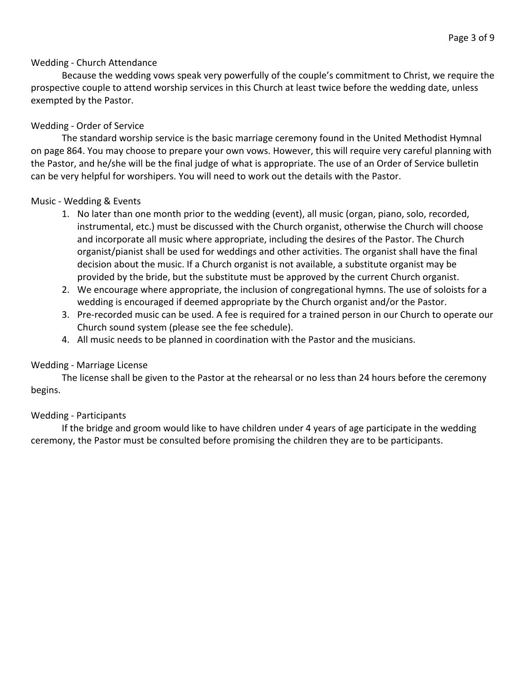### Wedding - Church Attendance

Because the wedding vows speak very powerfully of the couple's commitment to Christ, we require the prospective couple to attend worship services in this Church at least twice before the wedding date, unless exempted by the Pastor.

## Wedding - Order of Service

The standard worship service is the basic marriage ceremony found in the United Methodist Hymnal on page 864. You may choose to prepare your own vows. However, this will require very careful planning with the Pastor, and he/she will be the final judge of what is appropriate. The use of an Order of Service bulletin can be very helpful for worshipers. You will need to work out the details with the Pastor.

### Music - Wedding & Events

- 1. No later than one month prior to the wedding (event), all music (organ, piano, solo, recorded, instrumental, etc.) must be discussed with the Church organist, otherwise the Church will choose and incorporate all music where appropriate, including the desires of the Pastor. The Church organist/pianist shall be used for weddings and other activities. The organist shall have the final decision about the music. If a Church organist is not available, a substitute organist may be provided by the bride, but the substitute must be approved by the current Church organist.
- 2. We encourage where appropriate, the inclusion of congregational hymns. The use of soloists for a wedding is encouraged if deemed appropriate by the Church organist and/or the Pastor.
- 3. Pre-recorded music can be used. A fee is required for a trained person in our Church to operate our Church sound system (please see the fee schedule).
- 4. All music needs to be planned in coordination with the Pastor and the musicians.

### Wedding - Marriage License

The license shall be given to the Pastor at the rehearsal or no less than 24 hours before the ceremony begins.

### Wedding - Participants

If the bridge and groom would like to have children under 4 years of age participate in the wedding ceremony, the Pastor must be consulted before promising the children they are to be participants.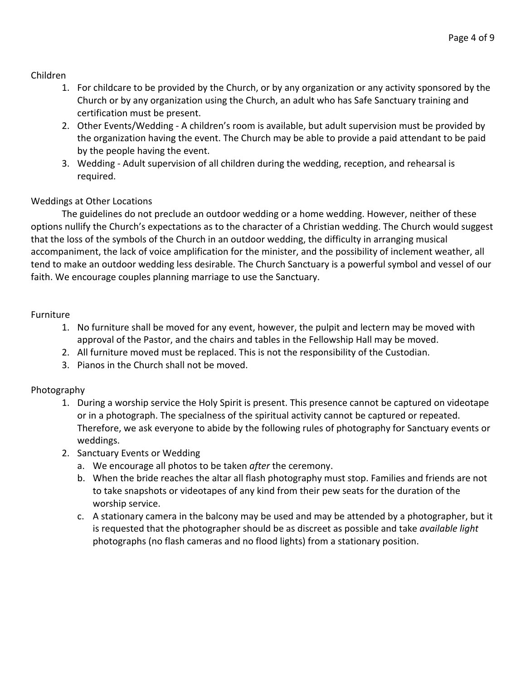## Children

- 1. For childcare to be provided by the Church, or by any organization or any activity sponsored by the Church or by any organization using the Church, an adult who has Safe Sanctuary training and certification must be present.
- 2. Other Events/Wedding A children's room is available, but adult supervision must be provided by the organization having the event. The Church may be able to provide a paid attendant to be paid by the people having the event.
- 3. Wedding Adult supervision of all children during the wedding, reception, and rehearsal is required.

# Weddings at Other Locations

The guidelines do not preclude an outdoor wedding or a home wedding. However, neither of these options nullify the Church's expectations as to the character of a Christian wedding. The Church would suggest that the loss of the symbols of the Church in an outdoor wedding, the difficulty in arranging musical accompaniment, the lack of voice amplification for the minister, and the possibility of inclement weather, all tend to make an outdoor wedding less desirable. The Church Sanctuary is a powerful symbol and vessel of our faith. We encourage couples planning marriage to use the Sanctuary.

### Furniture

- 1. No furniture shall be moved for any event, however, the pulpit and lectern may be moved with approval of the Pastor, and the chairs and tables in the Fellowship Hall may be moved.
- 2. All furniture moved must be replaced. This is not the responsibility of the Custodian.
- 3. Pianos in the Church shall not be moved.

### Photography

- 1. During a worship service the Holy Spirit is present. This presence cannot be captured on videotape or in a photograph. The specialness of the spiritual activity cannot be captured or repeated. Therefore, we ask everyone to abide by the following rules of photography for Sanctuary events or weddings.
- 2. Sanctuary Events or Wedding
	- a. We encourage all photos to be taken *after* the ceremony.
	- b. When the bride reaches the altar all flash photography must stop. Families and friends are not to take snapshots or videotapes of any kind from their pew seats for the duration of the worship service.
	- c. A stationary camera in the balcony may be used and may be attended by a photographer, but it is requested that the photographer should be as discreet as possible and take *available light* photographs (no flash cameras and no flood lights) from a stationary position.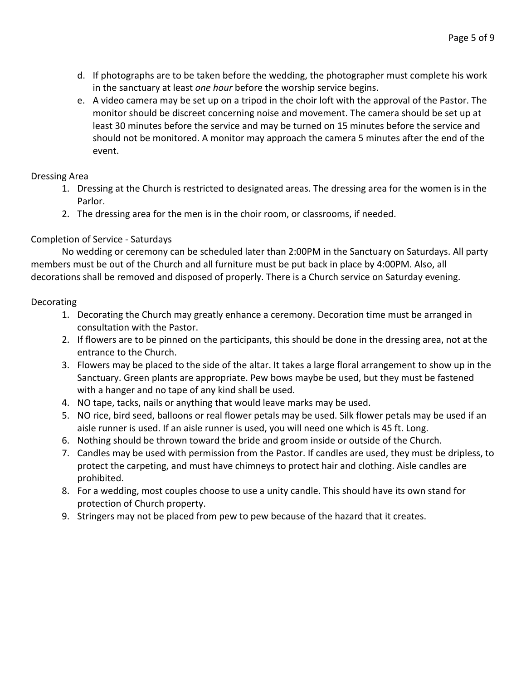- d. If photographs are to be taken before the wedding, the photographer must complete his work in the sanctuary at least *one hour* before the worship service begins.
- e. A video camera may be set up on a tripod in the choir loft with the approval of the Pastor. The monitor should be discreet concerning noise and movement. The camera should be set up at least 30 minutes before the service and may be turned on 15 minutes before the service and should not be monitored. A monitor may approach the camera 5 minutes after the end of the event.

## Dressing Area

- 1. Dressing at the Church is restricted to designated areas. The dressing area for the women is in the Parlor.
- 2. The dressing area for the men is in the choir room, or classrooms, if needed.

# Completion of Service - Saturdays

No wedding or ceremony can be scheduled later than 2:00PM in the Sanctuary on Saturdays. All party members must be out of the Church and all furniture must be put back in place by 4:00PM. Also, all decorations shall be removed and disposed of properly. There is a Church service on Saturday evening.

## **Decorating**

- 1. Decorating the Church may greatly enhance a ceremony. Decoration time must be arranged in consultation with the Pastor.
- 2. If flowers are to be pinned on the participants, this should be done in the dressing area, not at the entrance to the Church.
- 3. Flowers may be placed to the side of the altar. It takes a large floral arrangement to show up in the Sanctuary. Green plants are appropriate. Pew bows maybe be used, but they must be fastened with a hanger and no tape of any kind shall be used.
- 4. NO tape, tacks, nails or anything that would leave marks may be used.
- 5. NO rice, bird seed, balloons or real flower petals may be used. Silk flower petals may be used if an aisle runner is used. If an aisle runner is used, you will need one which is 45 ft. Long.
- 6. Nothing should be thrown toward the bride and groom inside or outside of the Church.
- 7. Candles may be used with permission from the Pastor. If candles are used, they must be dripless, to protect the carpeting, and must have chimneys to protect hair and clothing. Aisle candles are prohibited.
- 8. For a wedding, most couples choose to use a unity candle. This should have its own stand for protection of Church property.
- 9. Stringers may not be placed from pew to pew because of the hazard that it creates.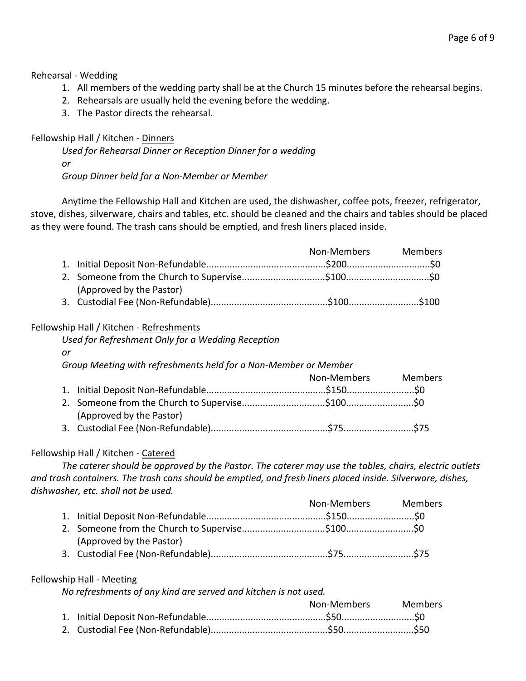### Rehearsal - Wedding

- 1. All members of the wedding party shall be at the Church 15 minutes before the rehearsal begins.
- 2. Rehearsals are usually held the evening before the wedding.
- 3. The Pastor directs the rehearsal.

## Fellowship Hall / Kitchen - Dinners

*Used for Rehearsal Dinner or Reception Dinner for a wedding or Group Dinner held for a Non-Member or Member*

Anytime the Fellowship Hall and Kitchen are used, the dishwasher, coffee pots, freezer, refrigerator, stove, dishes, silverware, chairs and tables, etc. should be cleaned and the chairs and tables should be placed as they were found. The trash cans should be emptied, and fresh liners placed inside.

|                          | Non-Members Members |  |
|--------------------------|---------------------|--|
|                          |                     |  |
|                          |                     |  |
| (Approved by the Pastor) |                     |  |
|                          |                     |  |

### Fellowship Hall / Kitchen - Refreshments

|    | Used for Refreshment Only for a Wedding Reception               |             |                |
|----|-----------------------------------------------------------------|-------------|----------------|
| or |                                                                 |             |                |
|    | Group Meeting with refreshments held for a Non-Member or Member |             |                |
|    |                                                                 | Non-Members | <b>Members</b> |
|    |                                                                 |             |                |
|    |                                                                 |             |                |
|    | (Approved by the Pastor)                                        |             |                |

3. Custodial Fee (Non-Refundable).............................................\$75...........................\$75

# Fellowship Hall / Kitchen - Catered

*The caterer should be approved by the Pastor. The caterer may use the tables, chairs, electric outlets and trash containers. The trash cans should be emptied, and fresh liners placed inside. Silverware, dishes, dishwasher, etc. shall not be used.*

|                          | Non-Members Members |  |
|--------------------------|---------------------|--|
|                          |                     |  |
|                          |                     |  |
| (Approved by the Pastor) |                     |  |
|                          |                     |  |

### Fellowship Hall - Meeting

*No refreshments of any kind are served and kitchen is not used.*

| Non-Members | <b>Members</b> |
|-------------|----------------|
|             |                |
|             |                |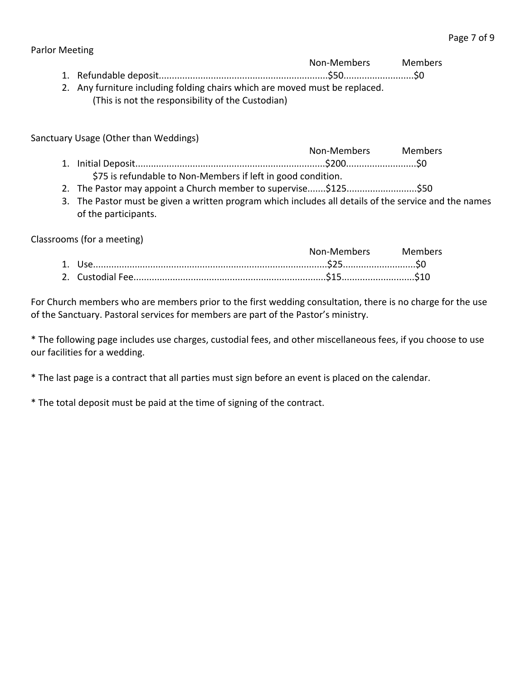### Parlor Meeting

- Non-Members Members 1. Refundable deposit.................................................................\$50...........................\$0
- 2. Any furniture including folding chairs which are moved must be replaced. (This is not the responsibility of the Custodian)

Sanctuary Usage (Other than Weddings)

- Non-Members Members 1. Initial Deposit.........................................................................\$200...........................\$0 \$75 is refundable to Non-Members if left in good condition.
- 2. The Pastor may appoint a Church member to supervise.......\$125..........................\$50
- 3. The Pastor must be given a written program which includes all details of the service and the names of the participants.

Classrooms (for a meeting)

|  | Non-Members Members |  |
|--|---------------------|--|
|  |                     |  |
|  |                     |  |

For Church members who are members prior to the first wedding consultation, there is no charge for the use of the Sanctuary. Pastoral services for members are part of the Pastor's ministry.

\* The following page includes use charges, custodial fees, and other miscellaneous fees, if you choose to use our facilities for a wedding.

\* The last page is a contract that all parties must sign before an event is placed on the calendar.

\* The total deposit must be paid at the time of signing of the contract.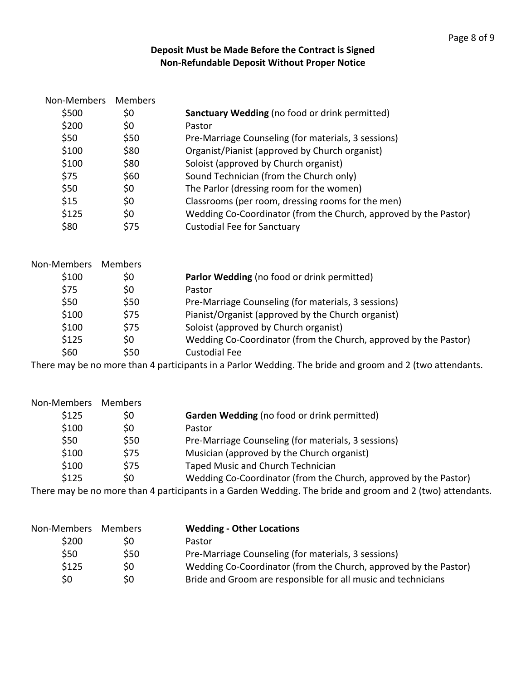# **Deposit Must be Made Before the Contract is Signed Non-Refundable Deposit Without Proper Notice**

| Non-Members | Members |                                                                                                           |
|-------------|---------|-----------------------------------------------------------------------------------------------------------|
| \$500       | \$0     | Sanctuary Wedding (no food or drink permitted)                                                            |
| \$200       | \$0     | Pastor                                                                                                    |
| \$50        | \$50    | Pre-Marriage Counseling (for materials, 3 sessions)                                                       |
| \$100       | \$80    | Organist/Pianist (approved by Church organist)                                                            |
| \$100       | \$80    | Soloist (approved by Church organist)                                                                     |
| \$75        | \$60    | Sound Technician (from the Church only)                                                                   |
| \$50        | \$0     | The Parlor (dressing room for the women)                                                                  |
| \$15        | \$0     | Classrooms (per room, dressing rooms for the men)                                                         |
| \$125       | \$0     | Wedding Co-Coordinator (from the Church, approved by the Pastor)                                          |
| \$80        | \$75    | <b>Custodial Fee for Sanctuary</b>                                                                        |
| Non-Members | Members |                                                                                                           |
| \$100       | \$0     | Parlor Wedding (no food or drink permitted)                                                               |
| \$75        | \$0     | Pastor                                                                                                    |
| \$50        | \$50    | Pre-Marriage Counseling (for materials, 3 sessions)                                                       |
| \$100       | \$75    | Pianist/Organist (approved by the Church organist)                                                        |
| \$100       | \$75    | Soloist (approved by Church organist)                                                                     |
| \$125       | \$0     | Wedding Co-Coordinator (from the Church, approved by the Pastor)                                          |
| \$60        | \$50    | <b>Custodial Fee</b>                                                                                      |
|             |         | There may be no more than 4 participants in a Parlor Wedding. The bride and groom and 2 (two attendants.  |
| Non-Members | Members |                                                                                                           |
| \$125       | \$0     | Garden Wedding (no food or drink permitted)                                                               |
| \$100       | \$0     | Pastor                                                                                                    |
| \$50        | \$50    | Pre-Marriage Counseling (for materials, 3 sessions)                                                       |
| \$100       | \$75    | Musician (approved by the Church organist)                                                                |
| \$100       | \$75    | Taped Music and Church Technician                                                                         |
| \$125       | \$0     | Wedding Co-Coordinator (from the Church, approved by the Pastor)                                          |
|             |         | There may be no more than 4 participants in a Garden Wedding. The bride and groom and 2 (two) attendants. |
| Non-Members | Members | <b>Wedding - Other Locations</b>                                                                          |

|      | -------------                                                    |
|------|------------------------------------------------------------------|
| S0   | Pastor                                                           |
| \$50 | Pre-Marriage Counseling (for materials, 3 sessions)              |
| S0   | Wedding Co-Coordinator (from the Church, approved by the Pastor) |
| S0   | Bride and Groom are responsible for all music and technicians    |
|      |                                                                  |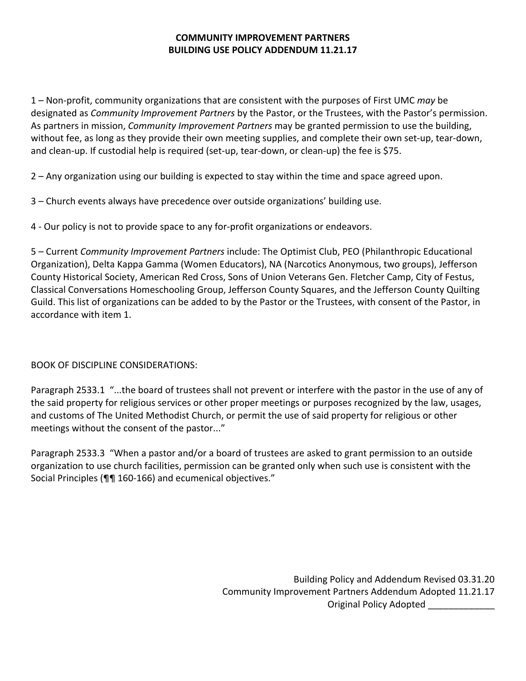### **COMMUNITY IMPROVEMENT PARTNERS BUILDING USE POLICY ADDENDUM 11.21.17**

1 – Non-profit, community organizations that are consistent with the purposes of First UMC *may* be designated as *Community Improvement Partners* by the Pastor, or the Trustees, with the Pastor's permission. As partners in mission, *Community Improvement Partners* may be granted permission to use the building, without fee, as long as they provide their own meeting supplies, and complete their own set-up, tear-down, and clean-up. If custodial help is required (set-up, tear-down, or clean-up) the fee is \$75.

2 – Any organization using our building is expected to stay within the time and space agreed upon.

3 – Church events always have precedence over outside organizations' building use.

4 - Our policy is not to provide space to any for-profit organizations or endeavors.

5 – Current *Community Improvement Partners* include: The Optimist Club, PEO (Philanthropic Educational Organization), Delta Kappa Gamma (Women Educators), NA (Narcotics Anonymous, two groups), Jefferson County Historical Society, American Red Cross, Sons of Union Veterans Gen. Fletcher Camp, City of Festus, Classical Conversations Homeschooling Group, Jefferson County Squares, and the Jefferson County Quilting Guild. This list of organizations can be added to by the Pastor or the Trustees, with consent of the Pastor, in accordance with item 1.

BOOK OF DISCIPLINE CONSIDERATIONS:

Paragraph 2533.1 "...the board of trustees shall not prevent or interfere with the pastor in the use of any of the said property for religious services or other proper meetings or purposes recognized by the law, usages, and customs of The United Methodist Church, or permit the use of said property for religious or other meetings without the consent of the pastor..."

Paragraph 2533.3 "When a pastor and/or a board of trustees are asked to grant permission to an outside organization to use church facilities, permission can be granted only when such use is consistent with the Social Principles (¶¶ 160-166) and ecumenical objectives."

> Building Policy and Addendum Revised 03.31.20 Community Improvement Partners Addendum Adopted 11.21.17 Original Policy Adopted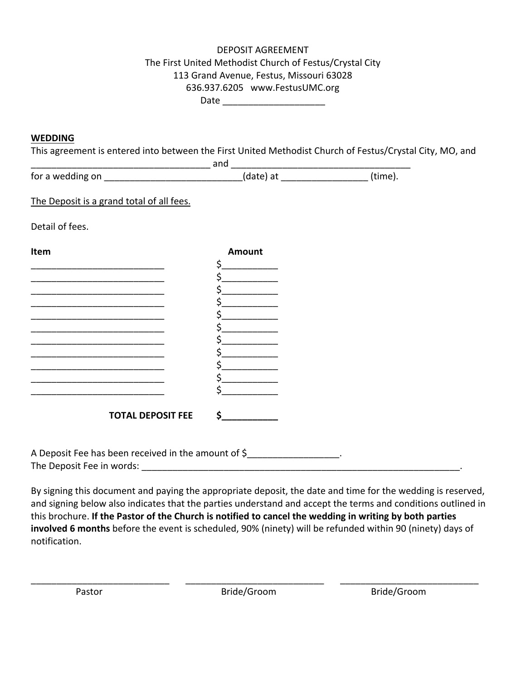## DEPOSIT AGREEMENT The First United Methodist Church of Festus/Crystal City 113 Grand Avenue, Festus, Missouri 63028 636.937.6205 www.FestusUMC.org Date  $\Box$

#### **WEDDING**

This agreement is entered into between the First United Methodist Church of Festus/Crystal City, MO, and

|                  | anc       |         |
|------------------|-----------|---------|
| for a wedding on | (date) at | (time). |

The Deposit is a grand total of all fees.

Detail of fees.

| Item |                          | <b>Amount</b> |
|------|--------------------------|---------------|
|      |                          | ς             |
|      |                          |               |
|      |                          |               |
|      |                          |               |
|      |                          |               |
|      |                          |               |
|      |                          |               |
|      |                          |               |
|      |                          |               |
|      |                          |               |
|      |                          |               |
|      |                          |               |
|      | <b>TOTAL DEPOSIT FEE</b> |               |
|      |                          |               |
|      |                          |               |

| A Deposit Fee has been received in the amount of \$ |  |
|-----------------------------------------------------|--|
| The Deposit Fee in words:                           |  |

By signing this document and paying the appropriate deposit, the date and time for the wedding is reserved, and signing below also indicates that the parties understand and accept the terms and conditions outlined in this brochure. **If the Pastor of the Church is notified to cancel the wedding in writing by both parties involved 6 months** before the event is scheduled, 90% (ninety) will be refunded within 90 (ninety) days of notification.

\_\_\_\_\_\_\_\_\_\_\_\_\_\_\_\_\_\_\_\_\_\_\_\_\_\_\_ \_\_\_\_\_\_\_\_\_\_\_\_\_\_\_\_\_\_\_\_\_\_\_\_\_\_\_ \_\_\_\_\_\_\_\_\_\_\_\_\_\_\_\_\_\_\_\_\_\_\_\_\_\_\_